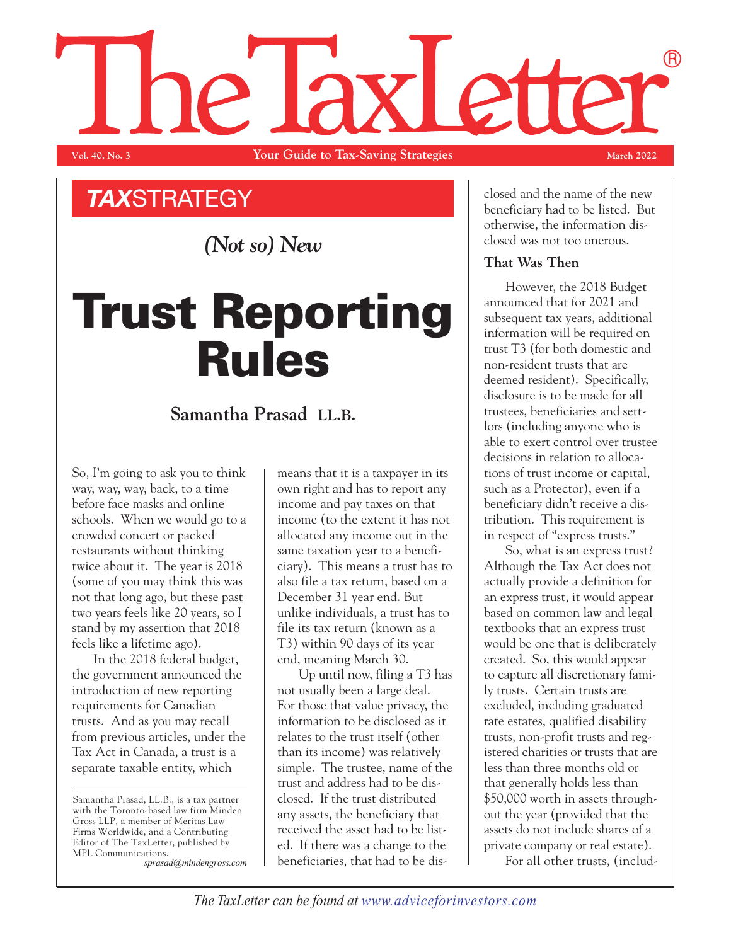## (R) ne. **Vol. 40, No. 3 Your Guide to Tax-Saving Strategies March 2022**

## *TAX*STRATEGY

*(Not so) New*

# **Trust Reporting Rules**

## **Samantha Prasad LL.B.**

So, I'm going to ask you to think way, way, way, back, to a time before face masks and online schools. When we would go to a crowded concert or packed restaurants without thinking twice about it. The year is 2018 (some of you may think this was not that long ago, but these past two years feels like 20 years, so I stand by my assertion that 2018 feels like a lifetime ago).

In the 2018 federal budget, the government announced the introduction of new reporting requirements for Canadian trusts. And as you may recall from previous articles, under the Tax Act in Canada, a trust is a separate taxable entity, which

Samantha Prasad, LL.B., is a tax partner with the Toronto-based law firm Minden Gross LLP, a member of Meritas Law Firms Worldwide, and a Contributing Editor of The TaxLetter, published by MPL Communications.

*sprasad@mindengross.com*

means that it is a taxpayer in its own right and has to report any income and pay taxes on that income (to the extent it has not allocated any income out in the same taxation year to a beneficiary). This means a trust has to also file a tax return, based on a December 31 year end. But unlike individuals, a trust has to file its tax return (known as a T3) within 90 days of its year end, meaning March 30.

Up until now, filing a T3 has not usually been a large deal. For those that value privacy, the information to be disclosed as it relates to the trust itself (other than its income) was relatively simple. The trustee, name of the trust and address had to be disclosed. If the trust distributed any assets, the beneficiary that received the asset had to be listed. If there was a change to the beneficiaries, that had to be dis-

closed and the name of the new beneficiary had to be listed. But otherwise, the information disclosed was not too onerous.

#### **That Was Then**

However, the 2018 Budget announced that for 2021 and subsequent tax years, additional information will be required on trust T3 (for both domestic and non-resident trusts that are deemed resident). Specifically, disclosure is to be made for all trustees, beneficiaries and settlors (including anyone who is able to exert control over trustee decisions in relation to allocations of trust income or capital, such as a Protector), even if a beneficiary didn't receive a distribution. This requirement is in respect of "express trusts."

So, what is an express trust? Although the Tax Act does not actually provide a definition for an express trust, it would appear based on common law and legal textbooks that an express trust would be one that is deliberately created. So, this would appear to capture all discretionary family trusts. Certain trusts are excluded, including graduated rate estates, qualified disability trusts, non-profit trusts and registered charities or trusts that are less than three months old or that generally holds less than \$50,000 worth in assets throughout the year (provided that the assets do not include shares of a private company or real estate).

For all other trusts, (includ-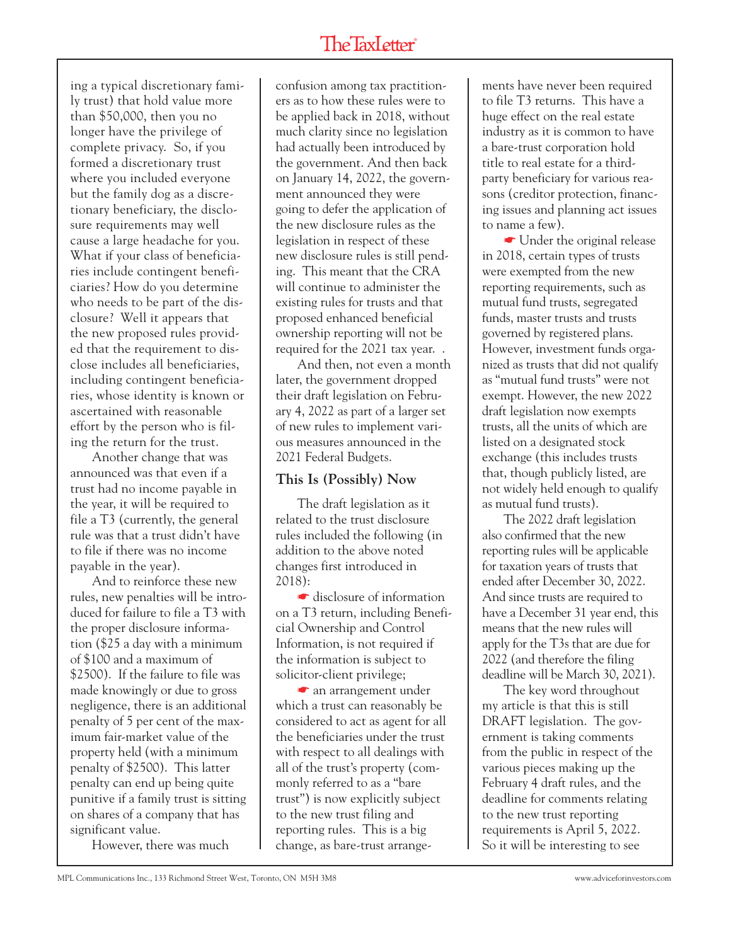## The TaxLetter<sup>®</sup>

ing a typical discretionary family trust) that hold value more than \$50,000, then you no longer have the privilege of complete privacy. So, if you formed a discretionary trust where you included everyone but the family dog as a discretionary beneficiary, the disclosure requirements may well cause a large headache for you. What if your class of beneficiaries include contingent beneficiaries? How do you determine who needs to be part of the disclosure? Well it appears that the new proposed rules provided that the requirement to disclose includes all beneficiaries, including contingent beneficiaries, whose identity is known or ascertained with reasonable effort by the person who is filing the return for the trust.

Another change that was announced was that even if a trust had no income payable in the year, it will be required to file a T3 (currently, the general rule was that a trust didn't have to file if there was no income payable in the year).

And to reinforce these new rules, new penalties will be introduced for failure to file a T3 with the proper disclosure information (\$25 a day with a minimum of \$100 and a maximum of \$2500). If the failure to file was made knowingly or due to gross negligence, there is an additional penalty of 5 per cent of the maximum fair-market value of the property held (with a minimum penalty of \$2500). This latter penalty can end up being quite punitive if a family trust is sitting on shares of a company that has significant value.

However, there was much

confusion among tax practitioners as to how these rules were to be applied back in 2018, without much clarity since no legislation had actually been introduced by the government. And then back on January 14, 2022, the government announced they were going to defer the application of the new disclosure rules as the legislation in respect of these new disclosure rules is still pending. This meant that the CRA will continue to administer the existing rules for trusts and that proposed enhanced beneficial ownership reporting will not be required for the 2021 tax year. .

And then, not even a month later, the government dropped their draft legislation on February 4, 2022 as part of a larger set of new rules to implement various measures announced in the 2021 Federal Budgets.

#### **This Is (Possibly) Now**

The draft legislation as it related to the trust disclosure rules included the following (in addition to the above noted changes first introduced in 2018):

☛ disclosure of information on a T3 return, including Beneficial Ownership and Control Information, is not required if the information is subject to solicitor-client privilege;

☛ an arrangement under which a trust can reasonably be considered to act as agent for all the beneficiaries under the trust with respect to all dealings with all of the trust's property (commonly referred to as a "bare trust") is now explicitly subject to the new trust filing and reporting rules. This is a big change, as bare-trust arrange-

ments have never been required to file T3 returns. This have a huge effect on the real estate industry as it is common to have a bare-trust corporation hold title to real estate for a thirdparty beneficiary for various reasons (creditor protection, financing issues and planning act issues to name a few).

☛ Under the original release in 2018, certain types of trusts were exempted from the new reporting requirements, such as mutual fund trusts, segregated funds, master trusts and trusts governed by registered plans. However, investment funds organized as trusts that did not qualify as "mutual fund trusts" were not exempt. However, the new 2022 draft legislation now exempts trusts, all the units of which are listed on a designated stock exchange (this includes trusts that, though publicly listed, are not widely held enough to qualify as mutual fund trusts).

The 2022 draft legislation also confirmed that the new reporting rules will be applicable for taxation years of trusts that ended after December 30, 2022. And since trusts are required to have a December 31 year end, this means that the new rules will apply for the T3s that are due for 2022 (and therefore the filing deadline will be March 30, 2021).

The key word throughout my article is that this is still DRAFT legislation. The government is taking comments from the public in respect of the various pieces making up the February 4 draft rules, and the deadline for comments relating to the new trust reporting requirements is April 5, 2022. So it will be interesting to see